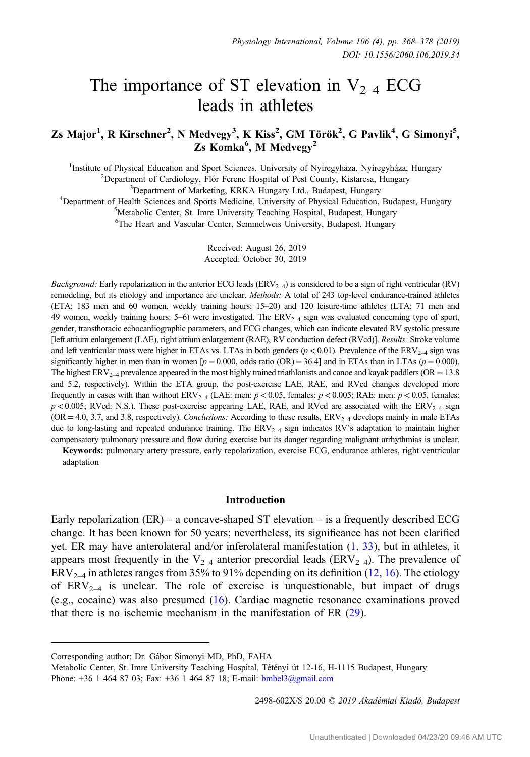# The importance of ST elevation in  $V_{2-4}$  ECG leads in athletes

# Zs Major $^1$ , R Kirschner $^2$ , N Medvegy $^3$ , K Kiss $^2$ , GM Török $^2$ , G Pavlik $^4$ , G Simonyi $^5$ , Zs Komka<sup>6</sup>, M Medvegy<sup>2</sup>

<sup>1</sup>Institute of Physical Education and Sport Sciences, University of Nyíregyháza, Nyíregyháza, Hungary<br><sup>2</sup>Department of Cardiology, Elér Ferenc Hospital of Pest County, Kistarcsa, Hungary

 ${}^{2}$ Department of Cardiology, Flór Ferenc Hospital of Pest County, Kistarcsa, Hungary  ${}^{3}$ Department of Marketing, KRKA Hungary Ltd., Budapest, Hungary

<sup>2</sup>Department of Marketing, KRKA Hungary Ltd., Budapest, Hungary<br><sup>4</sup>Department of Health Sciences and Sports Medicine, University of Physical Education Department of Health Sciences and Sports Medicine, University of Physical Education, Budapest, Hungary<br><sup>5</sup>Metabolic Center, St. Imre University Teaching Hospital, Budapest, Hungary

<sup>5</sup>Metabolic Center, St. Imre University Teaching Hospital, Budapest, Hungary

6 The Heart and Vascular Center, Semmelweis University, Budapest, Hungary

Received: August 26, 2019 Accepted: October 30, 2019

Background: Early repolarization in the anterior ECG leads  $(ERV_{2-4})$  is considered to be a sign of right ventricular (RV) remodeling, but its etiology and importance are unclear. Methods: A total of 243 top-level endurance-trained athletes (ETA; 183 men and 60 women, weekly training hours: 15–20) and 120 leisure-time athletes (LTA; 71 men and 49 women, weekly training hours: 5–6) were investigated. The  $ERV_{2-4}$  sign was evaluated concerning type of sport, gender, transthoracic echocardiographic parameters, and ECG changes, which can indicate elevated RV systolic pressure [left atrium enlargement (LAE), right atrium enlargement (RAE), RV conduction defect (RVcd)]. Results: Stroke volume and left ventricular mass were higher in ETAs vs. LTAs in both genders ( $p < 0.01$ ). Prevalence of the ERV<sub>2–4</sub> sign was significantly higher in men than in women  $[p = 0.000, \text{ odds ratio (OR)} = 36.4]$  and in ETAs than in LTAs ( $p = 0.000$ ). The highest  $ERV_{2-4}$  prevalence appeared in the most highly trained triathlonists and canoe and kayak paddlers (OR = 13.8) and 5.2, respectively). Within the ETA group, the post-exercise LAE, RAE, and RVcd changes developed more frequently in cases with than without ERV<sub>2–4</sub> (LAE: men:  $p < 0.05$ , females:  $p < 0.005$ ; RAE: men:  $p < 0.05$ , females:  $p < 0.005$ ; RVcd: N.S.). These post-exercise appearing LAE, RAE, and RVcd are associated with the ERV<sub>2–4</sub> sign  $(OR = 4.0, 3.7, and 3.8, respectively)$ . Conclusions: According to these results,  $ERV<sub>2-4</sub>$  develops mainly in male ETAs due to long-lasting and repeated endurance training. The  $ERV_{2-4}$  sign indicates RV's adaptation to maintain higher compensatory pulmonary pressure and flow during exercise but its danger regarding malignant arrhythmias is unclear.

Keywords: pulmonary artery pressure, early repolarization, exercise ECG, endurance athletes, right ventricular adaptation

## Introduction

Early repolarization  $(ER)$  – a concave-shaped ST elevation – is a frequently described ECG change. It has been known for 50 years; nevertheless, its significance has not been clarified yet. ER may have anterolateral and/or inferolateral manifestation ([1,](#page-8-0) [33\)](#page-10-0), but in athletes, it appears most frequently in the  $V_{2-4}$  anterior precordial leads (ERV<sub>2–4</sub>). The prevalence of  $ERV_{2-4}$  in athletes ranges from 35% to 91% depending on its definition ([12,](#page-9-0) [16](#page-9-0)). The etiology of  $ERV_{2-4}$  is unclear. The role of exercise is unquestionable, but impact of drugs (e.g., cocaine) was also presumed [\(16](#page-9-0)). Cardiac magnetic resonance examinations proved that there is no ischemic mechanism in the manifestation of ER ([29\)](#page-10-0).

2498-602X/\$ 20.00 © 2019 Akadémiai Kiadó, Budapest

Corresponding author: Dr. Gábor Simonyi MD, PhD, FAHA

Metabolic Center, St. Imre University Teaching Hospital, Tétényi út 12-16, H-1115 Budapest, Hungary Phone: +36 1 464 87 03; Fax: +36 1 464 87 18; E-mail: [bmbel3@gmail.com](mailto:bmbel3@gmail.com)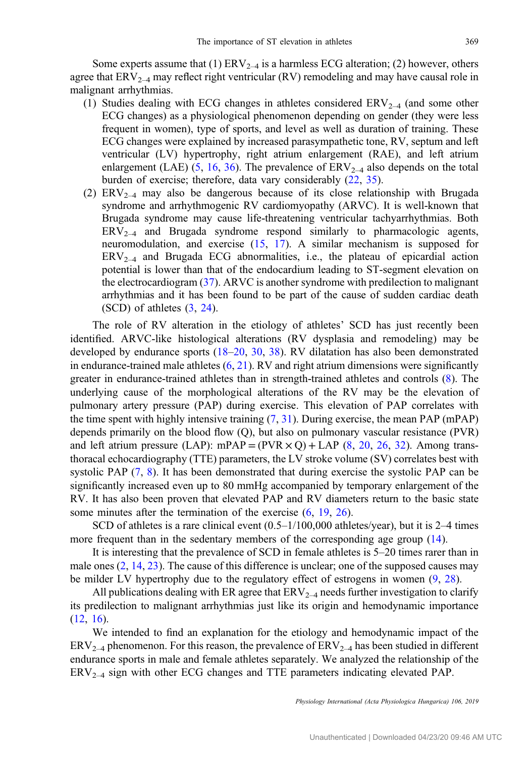Some experts assume that (1)  $ERV_{2-4}$  is a harmless ECG alteration; (2) however, others agree that  $ERV_{2-4}$  may reflect right ventricular  $(RV)$  remodeling and may have causal role in malignant arrhythmias.

- (1) Studies dealing with ECG changes in athletes considered  $ERV_{2-4}$  (and some other ECG changes) as a physiological phenomenon depending on gender (they were less frequent in women), type of sports, and level as well as duration of training. These ECG changes were explained by increased parasympathetic tone, RV, septum and left ventricular (LV) hypertrophy, right atrium enlargement (RAE), and left atrium enlargement (LAE) [\(5](#page-8-0), [16,](#page-9-0) [36](#page-10-0)). The prevalence of  $ERV_{2-4}$  also depends on the total burden of exercise; therefore, data vary considerably ([22,](#page-9-0) [35\)](#page-10-0).
- (2)  $ERV_{2-4}$  may also be dangerous because of its close relationship with Brugada syndrome and arrhythmogenic RV cardiomyopathy (ARVC). It is well-known that Brugada syndrome may cause life-threatening ventricular tachyarrhythmias. Both  $ERV_{2-4}$  and Brugada syndrome respond similarly to pharmacologic agents, neuromodulation, and exercise [\(15](#page-9-0), [17](#page-9-0)). A similar mechanism is supposed for  $ERV_{2-4}$  and Brugada ECG abnormalities, i.e., the plateau of epicardial action potential is lower than that of the endocardium leading to ST-segment elevation on the electrocardiogram ([37\)](#page-10-0). ARVC is another syndrome with predilection to malignant arrhythmias and it has been found to be part of the cause of sudden cardiac death (SCD) of athletes [\(3](#page-8-0), [24](#page-9-0)).

The role of RV alteration in the etiology of athletes' SCD has just recently been identified. ARVC-like histological alterations (RV dysplasia and remodeling) may be developed by endurance sports ([18](#page-9-0)-[20,](#page-9-0) [30,](#page-10-0) [38\)](#page-10-0). RV dilatation has also been demonstrated in endurance-trained male athletes  $(6, 21)$  $(6, 21)$  $(6, 21)$  $(6, 21)$ . RV and right atrium dimensions were significantly greater in endurance-trained athletes than in strength-trained athletes and controls [\(8](#page-9-0)). The underlying cause of the morphological alterations of the RV may be the elevation of pulmonary artery pressure (PAP) during exercise. This elevation of PAP correlates with the time spent with highly intensive training ([7,](#page-8-0) [31\)](#page-10-0). During exercise, the mean PAP (mPAP) depends primarily on the blood flow (Q), but also on pulmonary vascular resistance (PVR) and left atrium pressure (LAP): mPAP =  $(PVR \times Q)$  + LAP [\(8](#page-9-0), [20,](#page-9-0) [26,](#page-9-0) [32\)](#page-10-0). Among transthoracal echocardiography (TTE) parameters, the LV stroke volume (SV) correlates best with systolic PAP  $(7, 8)$  $(7, 8)$  $(7, 8)$  $(7, 8)$ . It has been demonstrated that during exercise the systolic PAP can be significantly increased even up to 80 mmHg accompanied by temporary enlargement of the RV. It has also been proven that elevated PAP and RV diameters return to the basic state some minutes after the termination of the exercise  $(6, 19, 26)$  $(6, 19, 26)$  $(6, 19, 26)$  $(6, 19, 26)$  $(6, 19, 26)$  $(6, 19, 26)$ .

SCD of athletes is a rare clinical event (0.5–1/100,000 athletes/year), but it is 2–4 times more frequent than in the sedentary members of the corresponding age group ([14\)](#page-9-0).

It is interesting that the prevalence of SCD in female athletes is 5–20 times rarer than in male ones [\(2](#page-8-0), [14,](#page-9-0) [23\)](#page-9-0). The cause of this difference is unclear; one of the supposed causes may be milder LV hypertrophy due to the regulatory effect of estrogens in women ([9,](#page-9-0) [28\)](#page-9-0).

All publications dealing with ER agree that  $ERV_{2-4}$  needs further investigation to clarify its predilection to malignant arrhythmias just like its origin and hemodynamic importance  $(12, 16)$  $(12, 16)$  $(12, 16)$  $(12, 16)$ .

We intended to find an explanation for the etiology and hemodynamic impact of the  $ERV_{2-4}$  phenomenon. For this reason, the prevalence of  $ERV_{2-4}$  has been studied in different endurance sports in male and female athletes separately. We analyzed the relationship of the  $ERV_{2-4}$  sign with other ECG changes and TTE parameters indicating elevated PAP.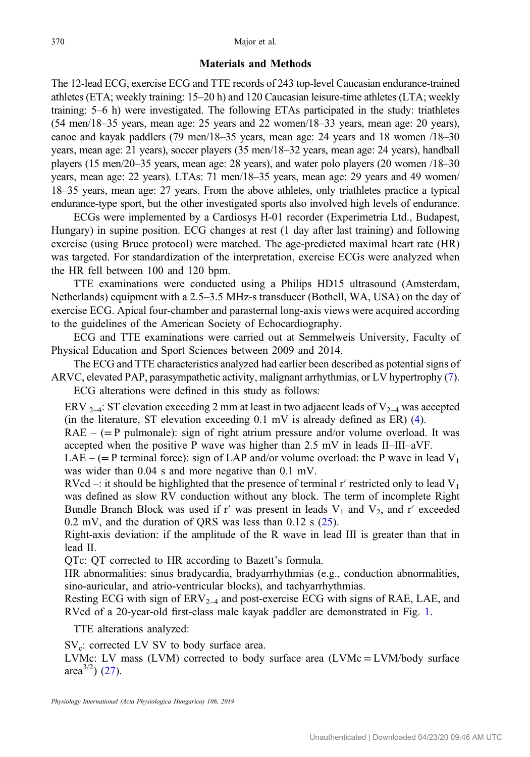# Materials and Methods

The 12-lead ECG, exercise ECG and TTE records of 243 top-level Caucasian endurance-trained athletes (ETA; weekly training: 15–20 h) and 120 Caucasian leisure-time athletes (LTA; weekly training: 5–6 h) were investigated. The following ETAs participated in the study: triathletes (54 men/18–35 years, mean age: 25 years and 22 women/18–33 years, mean age: 20 years), canoe and kayak paddlers (79 men/18–35 years, mean age: 24 years and 18 women /18–30 years, mean age: 21 years), soccer players (35 men/18–32 years, mean age: 24 years), handball players (15 men/20–35 years, mean age: 28 years), and water polo players (20 women /18–30 years, mean age: 22 years). LTAs: 71 men/18–35 years, mean age: 29 years and 49 women/ 18–35 years, mean age: 27 years. From the above athletes, only triathletes practice a typical endurance-type sport, but the other investigated sports also involved high levels of endurance.

ECGs were implemented by a Cardiosys H-01 recorder (Experimetria Ltd., Budapest, Hungary) in supine position. ECG changes at rest (1 day after last training) and following exercise (using Bruce protocol) were matched. The age-predicted maximal heart rate (HR) was targeted. For standardization of the interpretation, exercise ECGs were analyzed when the HR fell between 100 and 120 bpm.

TTE examinations were conducted using a Philips HD15 ultrasound (Amsterdam, Netherlands) equipment with a 2.5–3.5 MHz-s transducer (Bothell, WA, USA) on the day of exercise ECG. Apical four-chamber and parasternal long-axis views were acquired according to the guidelines of the American Society of Echocardiography.

ECG and TTE examinations were carried out at Semmelweis University, Faculty of Physical Education and Sport Sciences between 2009 and 2014.

The ECG and TTE characteristics analyzed had earlier been described as potential signs of ARVC, elevated PAP, parasympathetic activity, malignant arrhythmias, or LV hypertrophy [\(7](#page-8-0)). ECG alterations were defined in this study as follows:

ERV  $_{2-4}$ : ST elevation exceeding 2 mm at least in two adjacent leads of  $V_{2-4}$  was accepted (in the literature, ST elevation exceeding 0.1 mV is already defined as ER) [\(4](#page-8-0)).

 $RAE - (= P$  pulmonale): sign of right atrium pressure and/or volume overload. It was accepted when the positive P wave was higher than 2.5 mV in leads II–III–aVF.

LAE – (= P terminal force): sign of LAP and/or volume overload: the P wave in lead  $V_1$ was wider than 0.04 s and more negative than 0.1 mV.

RVcd –: it should be highlighted that the presence of terminal r' restricted only to lead  $V_1$ was defined as slow RV conduction without any block. The term of incomplete Right Bundle Branch Block was used if r' was present in leads  $V_1$  and  $V_2$ , and r' exceeded 0.2 mV, and the duration of QRS was less than 0.12 s [\(25](#page-9-0)).

Right-axis deviation: if the amplitude of the R wave in lead III is greater than that in lead II.

QTc: QT corrected to HR according to Bazett's formula.

HR abnormalities: sinus bradycardia, bradyarrhythmias (e.g., conduction abnormalities, sino-auricular, and atrio-ventricular blocks), and tachyarrhythmias.

Resting ECG with sign of  $ERV_{2-4}$  and post-exercise ECG with signs of RAE, LAE, and RVcd of a 20-year-old first-class male kayak paddler are demonstrated in Fig. [1](#page-3-0).

TTE alterations analyzed:

 $SV<sub>c</sub>:$  corrected LV SV to body surface area.

LVMc: LV mass (LVM) corrected to body surface area (LVMc = LVM/body surface area<sup>3/2</sup>) ([27\)](#page-9-0).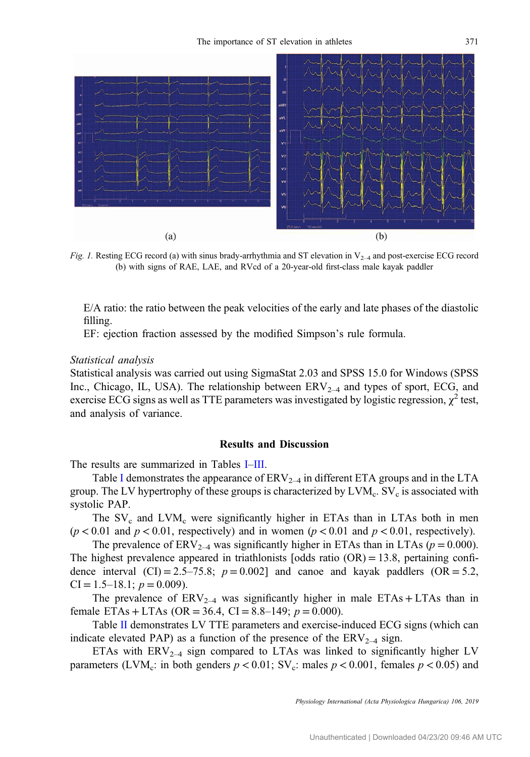<span id="page-3-0"></span>

Fig. 1. Resting ECG record (a) with sinus brady-arrhythmia and ST elevation in  $V_{2-4}$  and post-exercise ECG record (b) with signs of RAE, LAE, and RVcd of a 20-year-old first-class male kayak paddler

E/A ratio: the ratio between the peak velocities of the early and late phases of the diastolic filling.

EF: ejection fraction assessed by the modified Simpson's rule formula.

#### Statistical analysis

Statistical analysis was carried out using SigmaStat 2.03 and SPSS 15.0 for Windows (SPSS Inc., Chicago, IL, USA). The relationship between  $ERV_{2-4}$  and types of sport, ECG, and exercise ECG signs as well as TTE parameters was investigated by logistic regression,  $\chi^2$  test, and analysis of variance.

# Results and Discussion

The results are summarized in Tables [I](#page-4-0)–[III.](#page-6-0)

Table [I](#page-4-0) demonstrates the appearance of  $ERV_{2-4}$  in different ETA groups and in the LTA group. The LV hypertrophy of these groups is characterized by  $LVM_c$ .  $SV_c$  is associated with systolic PAP.

The  $SV_c$  and  $LVM_c$  were significantly higher in ETAs than in LTAs both in men  $(p < 0.01$  and  $p < 0.01$ , respectively) and in women  $(p < 0.01$  and  $p < 0.01$ , respectively).

The prevalence of  $ERV_{2-4}$  was significantly higher in ETAs than in LTAs ( $p = 0.000$ ). The highest prevalence appeared in triathlonists  $[odds \text{ ratio } (OR) = 13.8$ , pertaining confidence interval (CI) = 2.5–75.8;  $p = 0.002$ ] and canoe and kayak paddlers (OR = 5.2,  $CI = 1.5-18.1; p = 0.009$ .

The prevalence of  $ERV_{2-4}$  was significantly higher in male  $ETAs + LTAs$  than in female ETAs + LTAs (OR = 36.4, CI = 8.8–149;  $p = 0.000$ ).

Table [II](#page-5-0) demonstrates LV TTE parameters and exercise-induced ECG signs (which can indicate elevated PAP) as a function of the presence of the  $ERV_{2-4}$  sign.

ETAs with  $ERV_{2-4}$  sign compared to LTAs was linked to significantly higher LV parameters (LVM<sub>c</sub>: in both genders  $p < 0.01$ ; SV<sub>c</sub>: males  $p < 0.001$ , females  $p < 0.05$ ) and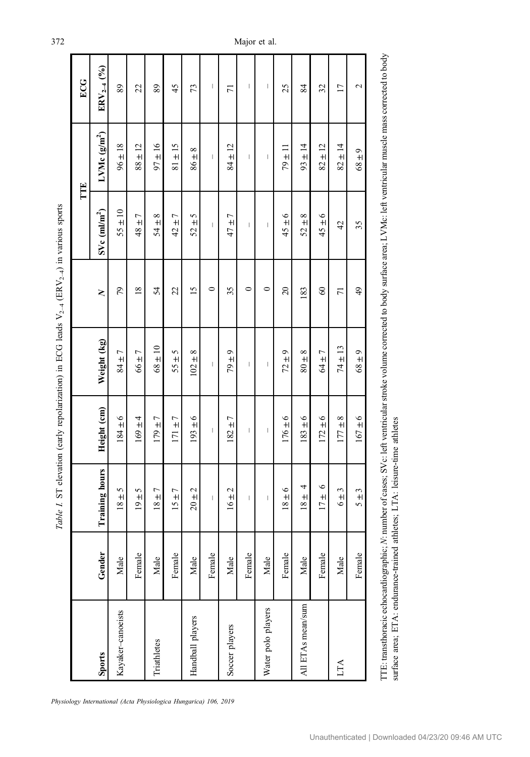|                    |        |                                |                                |                                                                                                                                                                                                                                                                                                                                                                                  |                | TTE                                                                                                                                                                                                                                                                                                                                                                              |                                | ECG                      |
|--------------------|--------|--------------------------------|--------------------------------|----------------------------------------------------------------------------------------------------------------------------------------------------------------------------------------------------------------------------------------------------------------------------------------------------------------------------------------------------------------------------------|----------------|----------------------------------------------------------------------------------------------------------------------------------------------------------------------------------------------------------------------------------------------------------------------------------------------------------------------------------------------------------------------------------|--------------------------------|--------------------------|
| Sports             | Gender | Training hours                 | Height (cm)                    | Weight (kg)                                                                                                                                                                                                                                                                                                                                                                      | $\geq$         | $SVe$ (m $Im2$ )                                                                                                                                                                                                                                                                                                                                                                 | LVMc $(g/m^2)$                 | $ENV_{2-4}$ (%)          |
| Kayaker-canoeists  | Male   | $18 \pm 5$                     | $184 \pm 6$                    | $84 \pm 7$                                                                                                                                                                                                                                                                                                                                                                       | 79             | $55 \pm 10$                                                                                                                                                                                                                                                                                                                                                                      | $96 \pm 18$                    | 89                       |
|                    | Female | $19 \pm 5$                     | $169\pm4$                      | $66 \pm 7$                                                                                                                                                                                                                                                                                                                                                                       | 18             | $48 \pm 7$                                                                                                                                                                                                                                                                                                                                                                       | $88 \pm 12$                    | 22                       |
| Triathletes        | Male   | $18 \pm 7$                     | $179 \pm 7$                    | $68 \pm 10$                                                                                                                                                                                                                                                                                                                                                                      | 54             | $54 \pm 8$                                                                                                                                                                                                                                                                                                                                                                       | $97 \pm 16$                    | 89                       |
|                    | Female | $15 \pm 7$                     | $171 + 7$                      | $55 \pm 5$                                                                                                                                                                                                                                                                                                                                                                       | 22             | $42 \pm 7$                                                                                                                                                                                                                                                                                                                                                                       | $81 \pm 15$                    | 45                       |
| Handball players   | Male   | $20 \pm 2$                     | $193 \pm 6$                    | $102 \pm 8$                                                                                                                                                                                                                                                                                                                                                                      | 15             | $52 \pm 5$                                                                                                                                                                                                                                                                                                                                                                       | $8\pm8$                        | 73                       |
|                    | Female | $\mid$                         | $\begin{array}{c} \end{array}$ | $\begin{array}{c} \end{array}$                                                                                                                                                                                                                                                                                                                                                   | $\circ$        | $\begin{array}{c} \hline \end{array}$                                                                                                                                                                                                                                                                                                                                            | $\begin{array}{c} \end{array}$ | $\overline{\phantom{a}}$ |
| Soccer players     | Male   | $16 \pm 2$                     | $182 + 7$                      | $9 \pm 9$                                                                                                                                                                                                                                                                                                                                                                        | 35             | $47 \pm 7$                                                                                                                                                                                                                                                                                                                                                                       | $84 \pm 12$                    | $\overline{7}$           |
|                    | Female | $\begin{array}{c} \end{array}$ | $\begin{array}{c} \end{array}$ | $\begin{array}{c} \rule{0pt}{2.5ex} \rule{0pt}{2.5ex} \rule{0pt}{2.5ex} \rule{0pt}{2.5ex} \rule{0pt}{2.5ex} \rule{0pt}{2.5ex} \rule{0pt}{2.5ex} \rule{0pt}{2.5ex} \rule{0pt}{2.5ex} \rule{0pt}{2.5ex} \rule{0pt}{2.5ex} \rule{0pt}{2.5ex} \rule{0pt}{2.5ex} \rule{0pt}{2.5ex} \rule{0pt}{2.5ex} \rule{0pt}{2.5ex} \rule{0pt}{2.5ex} \rule{0pt}{2.5ex} \rule{0pt}{2.5ex} \rule{0$ | $\circ$        | $\overline{\phantom{a}}$                                                                                                                                                                                                                                                                                                                                                         | $\overline{\phantom{a}}$       | J                        |
| Water polo players | Male   | $\vert$                        | $\vert$                        | $\vert$                                                                                                                                                                                                                                                                                                                                                                          | $\circ$        | $\begin{array}{c} \rule{0pt}{2.5ex} \rule{0pt}{2.5ex} \rule{0pt}{2.5ex} \rule{0pt}{2.5ex} \rule{0pt}{2.5ex} \rule{0pt}{2.5ex} \rule{0pt}{2.5ex} \rule{0pt}{2.5ex} \rule{0pt}{2.5ex} \rule{0pt}{2.5ex} \rule{0pt}{2.5ex} \rule{0pt}{2.5ex} \rule{0pt}{2.5ex} \rule{0pt}{2.5ex} \rule{0pt}{2.5ex} \rule{0pt}{2.5ex} \rule{0pt}{2.5ex} \rule{0pt}{2.5ex} \rule{0pt}{2.5ex} \rule{0$ | $\vert$                        | $\mid$                   |
|                    | Female | $18 \pm 6$                     | $176 \pm 6$                    | $72 \pm 9$                                                                                                                                                                                                                                                                                                                                                                       | $\overline{c}$ | $45 \pm 6$                                                                                                                                                                                                                                                                                                                                                                       | $79 \pm 11$                    | 25                       |
| All ETAs mean/sum  | Male   | 4<br>$18 \pm$                  | $183 + 6$                      | $80\pm8$                                                                                                                                                                                                                                                                                                                                                                         | 183            | $52 \pm 8$                                                                                                                                                                                                                                                                                                                                                                       | $93 \pm 14$                    | 84                       |
|                    | Female | $\circ$<br>$17 \pm$            | $172 \pm 6$                    | $64 \pm 7$                                                                                                                                                                                                                                                                                                                                                                       | $\degree$      | $45 \pm 6$                                                                                                                                                                                                                                                                                                                                                                       | $82 \pm 12$                    | 32                       |
| LTA                | Male   | $6 \pm 3$                      | $177 \pm 8$                    | $74 \pm 13$                                                                                                                                                                                                                                                                                                                                                                      | $\overline{7}$ | 42                                                                                                                                                                                                                                                                                                                                                                               | $82 \pm 14$                    | $\overline{17}$          |
|                    | Female | $5 \pm 3$                      | $167 \pm 6$                    | $68 \pm 9$                                                                                                                                                                                                                                                                                                                                                                       | $\frac{49}{5}$ | 35                                                                                                                                                                                                                                                                                                                                                                               | $68 \pm 9$                     | 2                        |
|                    |        |                                |                                |                                                                                                                                                                                                                                                                                                                                                                                  |                |                                                                                                                                                                                                                                                                                                                                                                                  |                                |                          |

Table 1. ST elevation (early repolarization) in ECG leads  $V_{2-4}$  (ERV<sub>2-4</sub>) in various sports Table 1. ST elevation (early repolarization) in ECG leads  $V_{2-4}$  (ERV<sub>2</sub>–4) in various sports

Physiology International (Acta Physiologica Hungarica) 106, 2019

<span id="page-4-0"></span>372 Major et al.

r

TTE: transthoracic echocardiographic;

surface area; ETA: endurance-trained athletes; LTA: leisure-time athletes

surface area; ETA: endurance-trained athletes; LTA: leisure-time athletes

N: number of cases; SVc: left ventricular stroke volume corrected to body surface area; LVMc: left ventricular muscle mass corrected to body

TTE: transthoracic echocardiographic; N: number of cases; SVc: left ventricular stroke volume corrected to body surface area; LVMc: left ventricular muscle mass corrected to body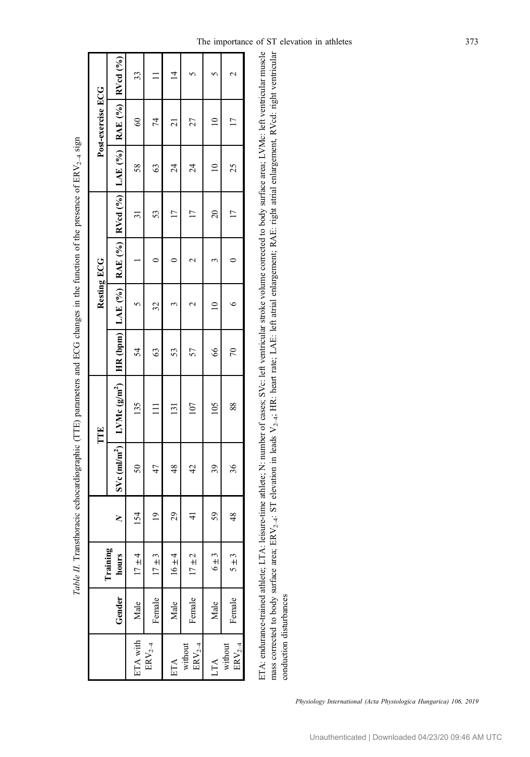<span id="page-5-0"></span>

|                                 |        |                               |               |                  | TTE              |                                                              | Resting ECG |                 |         | Post-exercise ECG  |                |
|---------------------------------|--------|-------------------------------|---------------|------------------|------------------|--------------------------------------------------------------|-------------|-----------------|---------|--------------------|----------------|
|                                 | Gender | Training<br>hours             | ζ             | $SVe$ (m $Vm2$ ) | I LVMc $(g/m^2)$ | <b>HR</b> (bpm) LAE $(%$ ) RAE $(%$ ) RVcd $(%$ ) LAE $(%$ ) |             |                 |         | $RAE$ (%) RVed (%) |                |
| ETA with                        | Male   | ᆉ<br>$17 \pm 4$               | 154           | $\delta$         | 135              | 54                                                           |             | $\overline{3}$  | 58      | $\degree$          | 33             |
| $\mathrm{ERV}_{2-4}$            | Female | ٣<br>$17 \pm 7$               | $\frac{1}{2}$ | 47               |                  | 63                                                           | 32          | 53              | 63      | 74                 |                |
| ETA                             | Male   | $16 \pm 4$                    | 29            | $\frac{8}{3}$    | $\overline{131}$ | 53                                                           |             | Ľ               | $^{24}$ | ಸ                  | $\overline{4}$ |
| without<br>$\mathrm{ERV}_{2-4}$ | Female | $\mathbf{\sim}$<br>$17 \pm 7$ | ₹             | 42               | 107              | 57                                                           |             | $\overline{17}$ | $^{24}$ | 27                 |                |
| LTA                             | Male   | 3<br>$\frac{1}{2}$            | 59            | 39               | 105              | 66                                                           |             | $\overline{20}$ |         | $\mathbf{r}$       |                |
| without<br>$\mathrm{ERV}_{2-4}$ | Female | ᡤ<br>$\frac{+}{2}$            | 48            | 36               | 88               | $\sqrt{2}$                                                   |             | $\overline{17}$ | 25      | <u>r</u>           |                |
|                                 |        |                               |               |                  |                  |                                                              |             |                 |         |                    |                |

Table II. Transthoracic echocardiographic (TTE) parameters and ECG changes in the function of the presence of  $\text{ERV}_{2-4}$  sign Table II. Transthoracic echocardiographic (TTE) parameters and ECG changes in the function of the presence of ERV<sub>2–4</sub> sign ETA: endurance-trained athlete; LTA: leisure-time athlete; N: number of cases; SVc: left ventricular stroke volume corrected to body surface area; LVMc: left ventricular muscle mass corrected to body surface area; ERV<sub>2-4</sub>; ST elevation in leads V<sub>2-4</sub>; HR: heart rate; LAE: left atrial enlargement; RAE: right atrial enlargement, RVcd: right ventricular ETA: endurance-trained athlete; LTA: leisure-time athlete; N: number of cases; SVc: left ventricular stroke volume corrected to body surface area; LVMc: left ventricular muscle mass corrected to body surface area; ERV<sub>2–4</sub>: ST elevation in leads V<sub>2–4</sub>; HR: heart rate; LAE: left atrial enlargement; RAE: right atrial enlargement; RVcd: right ventricular conduction disturbances conduction disturbances

Physiology International (Acta Physiologica Hungarica) 106, 2019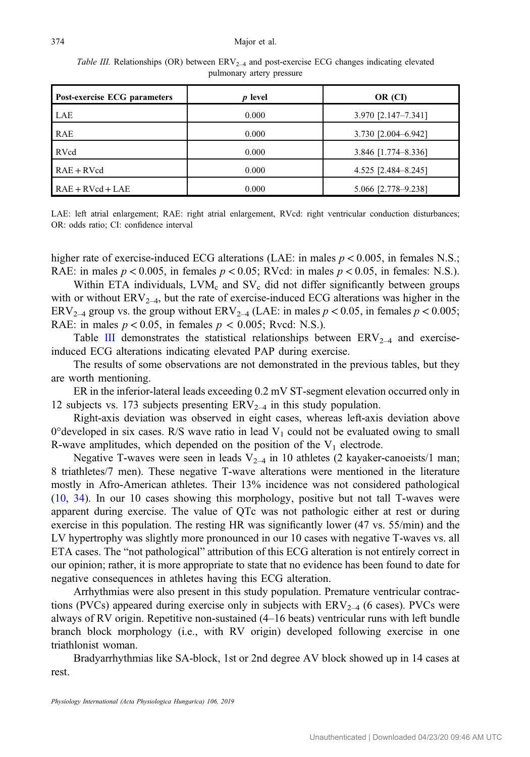<span id="page-6-0"></span>Table III. Relationships (OR) between  $ERV_{2-4}$  and post-exercise ECG changes indicating elevated pulmonary artery pressure

| Post-exercise ECG parameters | p level | OR (CI)             |
|------------------------------|---------|---------------------|
| LAE                          | 0.000   | 3.970 [2.147-7.341] |
| <b>RAE</b>                   | 0.000   | 3.730 [2.004-6.942] |
| <b>RVcd</b>                  | 0.000   | 3.846 [1.774-8.336] |
| $RAE + RVcd$                 | 0.000   | 4.525 [2.484-8.245] |
| $RAE + RVcd + LAE$           | 0.000   | 5.066 [2.778-9.238] |

LAE: left atrial enlargement; RAE: right atrial enlargement, RVcd: right ventricular conduction disturbances; OR: odds ratio; CI: confidence interval

higher rate of exercise-induced ECG alterations (LAE: in males  $p < 0.005$ , in females N.S.; RAE: in males  $p < 0.005$ , in females  $p < 0.05$ ; RVcd: in males  $p < 0.05$ , in females: N.S.).

Within ETA individuals,  $LVM_c$  and  $SV_c$  did not differ significantly between groups with or without  $ERV_{2-4}$ , but the rate of exercise-induced ECG alterations was higher in the ERV<sub>2–4</sub> group vs. the group without ERV<sub>2–4</sub> (LAE: in males  $p < 0.05$ , in females  $p < 0.005$ ; RAE: in males  $p < 0.05$ , in females  $p < 0.005$ ; Rvcd: N.S.).

Table III demonstrates the statistical relationships between  $ERV_{2-4}$  and exerciseinduced ECG alterations indicating elevated PAP during exercise.

The results of some observations are not demonstrated in the previous tables, but they are worth mentioning.

ER in the inferior-lateral leads exceeding 0.2 mV ST-segment elevation occurred only in 12 subjects vs. 173 subjects presenting  $ERV_{2-4}$  in this study population.

Right-axis deviation was observed in eight cases, whereas left-axis deviation above  $0^{\circ}$ developed in six cases. R/S wave ratio in lead V<sub>1</sub> could not be evaluated owing to small R-wave amplitudes, which depended on the position of the  $V_1$  electrode.

Negative T-waves were seen in leads  $V_{2-4}$  in 10 athletes (2 kayaker-canoeists/1 man; 8 triathletes/7 men). These negative T-wave alterations were mentioned in the literature mostly in Afro-American athletes. Their 13% incidence was not considered pathological [\(10](#page-9-0), [34](#page-10-0)). In our 10 cases showing this morphology, positive but not tall T-waves were apparent during exercise. The value of QTc was not pathologic either at rest or during exercise in this population. The resting HR was significantly lower (47 vs. 55/min) and the LV hypertrophy was slightly more pronounced in our 10 cases with negative T-waves vs. all ETA cases. The "not pathological" attribution of this ECG alteration is not entirely correct in our opinion; rather, it is more appropriate to state that no evidence has been found to date for negative consequences in athletes having this ECG alteration.

Arrhythmias were also present in this study population. Premature ventricular contractions (PVCs) appeared during exercise only in subjects with  $ERV_{2-4}$  (6 cases). PVCs were always of RV origin. Repetitive non-sustained (4–16 beats) ventricular runs with left bundle branch block morphology (i.e., with RV origin) developed following exercise in one triathlonist woman.

Bradyarrhythmias like SA-block, 1st or 2nd degree AV block showed up in 14 cases at rest.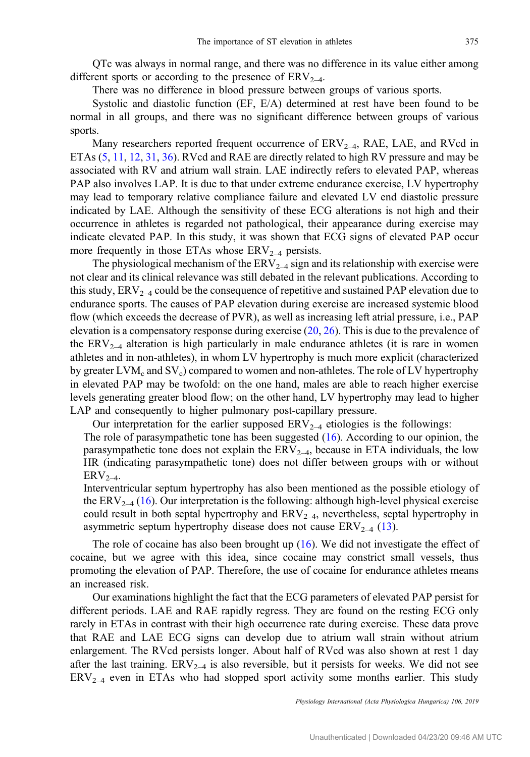QTc was always in normal range, and there was no difference in its value either among different sports or according to the presence of  $ERV_{2-4}$ .

There was no difference in blood pressure between groups of various sports.

Systolic and diastolic function (EF, E/A) determined at rest have been found to be normal in all groups, and there was no significant difference between groups of various sports.

Many researchers reported frequent occurrence of  $ERV_{2-4}$ , RAE, LAE, and RVcd in ETAs ([5,](#page-8-0) [11](#page-9-0), [12](#page-9-0), [31,](#page-10-0) [36\)](#page-10-0). RVcd and RAE are directly related to high RV pressure and may be associated with RV and atrium wall strain. LAE indirectly refers to elevated PAP, whereas PAP also involves LAP. It is due to that under extreme endurance exercise, LV hypertrophy may lead to temporary relative compliance failure and elevated LV end diastolic pressure indicated by LAE. Although the sensitivity of these ECG alterations is not high and their occurrence in athletes is regarded not pathological, their appearance during exercise may indicate elevated PAP. In this study, it was shown that ECG signs of elevated PAP occur more frequently in those ETAs whose  $ERV_{2-4}$  persists.

The physiological mechanism of the  $ERV_{2-4}$  sign and its relationship with exercise were not clear and its clinical relevance was still debated in the relevant publications. According to this study,  $ERV_{2-4}$  could be the consequence of repetitive and sustained PAP elevation due to endurance sports. The causes of PAP elevation during exercise are increased systemic blood flow (which exceeds the decrease of PVR), as well as increasing left atrial pressure, i.e., PAP elevation is a compensatory response during exercise [\(20](#page-9-0), [26\)](#page-9-0). This is due to the prevalence of the  $\text{ERV}_{2-4}$  alteration is high particularly in male endurance athletes (it is rare in women athletes and in non-athletes), in whom LV hypertrophy is much more explicit (characterized by greater LVM<sub>c</sub> and SV<sub>c</sub>) compared to women and non-athletes. The role of LV hypertrophy in elevated PAP may be twofold: on the one hand, males are able to reach higher exercise levels generating greater blood flow; on the other hand, LV hypertrophy may lead to higher LAP and consequently to higher pulmonary post-capillary pressure.

Our interpretation for the earlier supposed  $\text{ERV}_{2-4}$  etiologies is the followings:

The role of parasympathetic tone has been suggested ([16\)](#page-9-0). According to our opinion, the parasympathetic tone does not explain the  $ERV_{2-4}$ , because in ETA individuals, the low HR (indicating parasympathetic tone) does not differ between groups with or without  $ERV_{2-4}$ .

Interventricular septum hypertrophy has also been mentioned as the possible etiology of the  $ERV_{2-4}$  ([16\)](#page-9-0). Our interpretation is the following: although high-level physical exercise could result in both septal hypertrophy and  $ERV_{2-4}$ , nevertheless, septal hypertrophy in asymmetric septum hypertrophy disease does not cause  $\text{ERV}_{2-4}$  [\(13](#page-9-0)).

The role of cocaine has also been brought up  $(16)$  $(16)$ . We did not investigate the effect of cocaine, but we agree with this idea, since cocaine may constrict small vessels, thus promoting the elevation of PAP. Therefore, the use of cocaine for endurance athletes means an increased risk.

Our examinations highlight the fact that the ECG parameters of elevated PAP persist for different periods. LAE and RAE rapidly regress. They are found on the resting ECG only rarely in ETAs in contrast with their high occurrence rate during exercise. These data prove that RAE and LAE ECG signs can develop due to atrium wall strain without atrium enlargement. The RVcd persists longer. About half of RVcd was also shown at rest 1 day after the last training.  $ERV_{2-4}$  is also reversible, but it persists for weeks. We did not see  $ERV_{2-4}$  even in ETAs who had stopped sport activity some months earlier. This study

Physiology International (Acta Physiologica Hungarica) 106, 2019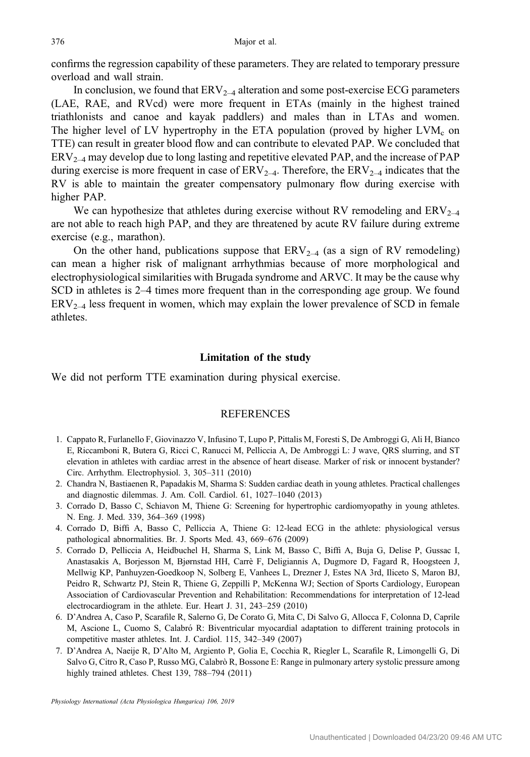<span id="page-8-0"></span>confirms the regression capability of these parameters. They are related to temporary pressure overload and wall strain.

In conclusion, we found that  $ERV_{2-4}$  alteration and some post-exercise ECG parameters (LAE, RAE, and RVcd) were more frequent in ETAs (mainly in the highest trained triathlonists and canoe and kayak paddlers) and males than in LTAs and women. The higher level of LV hypertrophy in the ETA population (proved by higher  $LVM<sub>c</sub>$  on TTE) can result in greater blood flow and can contribute to elevated PAP. We concluded that  $ERV_{2-4}$  may develop due to long lasting and repetitive elevated PAP, and the increase of PAP during exercise is more frequent in case of  $ERV_{2-4}$ . Therefore, the  $ERV_{2-4}$  indicates that the RV is able to maintain the greater compensatory pulmonary flow during exercise with higher PAP.

We can hypothesize that athletes during exercise without RV remodeling and  $ERV_{2-4}$ are not able to reach high PAP, and they are threatened by acute RV failure during extreme exercise (e.g., marathon).

On the other hand, publications suppose that  $ERV_{2-4}$  (as a sign of RV remodeling) can mean a higher risk of malignant arrhythmias because of more morphological and electrophysiological similarities with Brugada syndrome and ARVC. It may be the cause why SCD in athletes is 2–4 times more frequent than in the corresponding age group. We found  $ERV<sub>2-4</sub>$  less frequent in women, which may explain the lower prevalence of SCD in female athletes.

## Limitation of the study

We did not perform TTE examination during physical exercise.

# **REFERENCES**

- 1. Cappato R, Furlanello F, Giovinazzo V, Infusino T, Lupo P, Pittalis M, Foresti S, De Ambroggi G, Ali H, Bianco E, Riccamboni R, Butera G, Ricci C, Ranucci M, Pelliccia A, De Ambroggi L: J wave, QRS slurring, and ST elevation in athletes with cardiac arrest in the absence of heart disease. Marker of risk or innocent bystander? Circ. Arrhythm. Electrophysiol. 3, 305–311 (2010)
- 2. Chandra N, Bastiaenen R, Papadakis M, Sharma S: Sudden cardiac death in young athletes. Practical challenges and diagnostic dilemmas. J. Am. Coll. Cardiol. 61, 1027–1040 (2013)
- 3. Corrado D, Basso C, Schiavon M, Thiene G: Screening for hypertrophic cardiomyopathy in young athletes. N. Eng. J. Med. 339, 364–369 (1998)
- 4. Corrado D, Biffi A, Basso C, Pelliccia A, Thiene G: 12-lead ECG in the athlete: physiological versus pathological abnormalities. Br. J. Sports Med. 43, 669–676 (2009)
- 5. Corrado D, Pelliccia A, Heidbuchel H, Sharma S, Link M, Basso C, Biffi A, Buja G, Delise P, Gussac I, Anastasakis A, Borjesson M, Bjørnstad HH, Carrè F, Deligiannis A, Dugmore D, Fagard R, Hoogsteen J, Mellwig KP, Panhuyzen-Goedkoop N, Solberg E, Vanhees L, Drezner J, Estes NA 3rd, Iliceto S, Maron BJ, Peidro R, Schwartz PJ, Stein R, Thiene G, Zeppilli P, McKenna WJ; Section of Sports Cardiology, European Association of Cardiovascular Prevention and Rehabilitation: Recommendations for interpretation of 12-lead electrocardiogram in the athlete. Eur. Heart J. 31, 243–259 (2010)
- 6. D'Andrea A, Caso P, Scarafile R, Salerno G, De Corato G, Mita C, Di Salvo G, Allocca F, Colonna D, Caprile M, Ascione L, Cuomo S, Calabró R: Biventricular myocardial adaptation to different training protocols in competitive master athletes. Int. J. Cardiol. 115, 342–349 (2007)
- 7. D'Andrea A, Naeije R, D'Alto M, Argiento P, Golia E, Cocchia R, Riegler L, Scarafile R, Limongelli G, Di Salvo G, Citro R, Caso P, Russo MG, Calabrò R, Bossone E: Range in pulmonary artery systolic pressure among highly trained athletes. Chest 139, 788–794 (2011)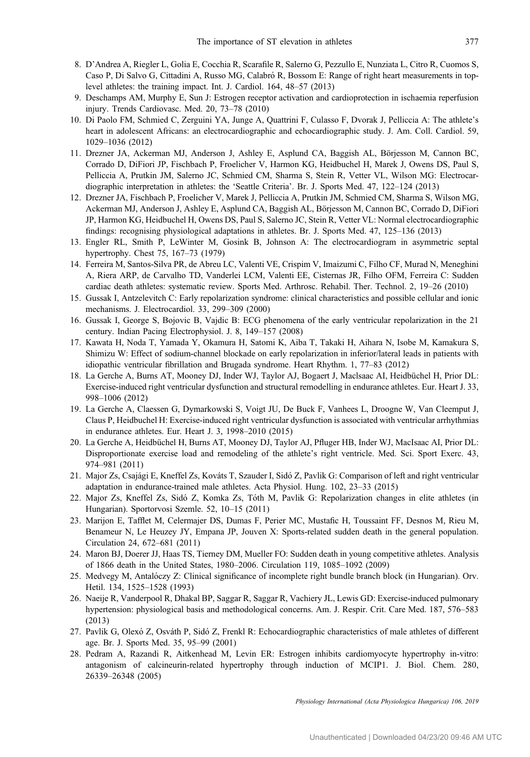- <span id="page-9-0"></span>8. D'Andrea A, Riegler L, Golia E, Cocchia R, Scarafile R, Salerno G, Pezzullo E, Nunziata L, Citro R, Cuomos S, Caso P, Di Salvo G, Cittadini A, Russo MG, Calabró R, Bossom E: Range of right heart measurements in toplevel athletes: the training impact. Int. J. Cardiol. 164, 48–57 (2013)
- 9. Deschamps AM, Murphy E, Sun J: Estrogen receptor activation and cardioprotection in ischaemia reperfusion injury. Trends Cardiovasc. Med. 20, 73–78 (2010)
- 10. Di Paolo FM, Schmied C, Zerguini YA, Junge A, Quattrini F, Culasso F, Dvorak J, Pelliccia A: The athlete's heart in adolescent Africans: an electrocardiographic and echocardiographic study. J. Am. Coll. Cardiol. 59, 1029–1036 (2012)
- 11. Drezner JA, Ackerman MJ, Anderson J, Ashley E, Asplund CA, Baggish AL, Börjesson M, Cannon BC, Corrado D, DiFiori JP, Fischbach P, Froelicher V, Harmon KG, Heidbuchel H, Marek J, Owens DS, Paul S, Pelliccia A, Prutkin JM, Salerno JC, Schmied CM, Sharma S, Stein R, Vetter VL, Wilson MG: Electrocardiographic interpretation in athletes: the 'Seattle Criteria'. Br. J. Sports Med. 47, 122–124 (2013)
- 12. Drezner JA, Fischbach P, Froelicher V, Marek J, Pelliccia A, Prutkin JM, Schmied CM, Sharma S, Wilson MG, Ackerman MJ, Anderson J, Ashley E, Asplund CA, Baggish AL, Börjesson M, Cannon BC, Corrado D, DiFiori JP, Harmon KG, Heidbuchel H, Owens DS, Paul S, Salerno JC, Stein R, Vetter VL: Normal electrocardiographic findings: recognising physiological adaptations in athletes. Br. J. Sports Med. 47, 125–136 (2013)
- 13. Engler RL, Smith P, LeWinter M, Gosink B, Johnson A: The electrocardiogram in asymmetric septal hypertrophy. Chest 75, 167–73 (1979)
- 14. Ferreira M, Santos-Silva PR, de Abreu LC, Valenti VE, Crispim V, Imaizumi C, Filho CF, Murad N, Meneghini A, Riera ARP, de Carvalho TD, Vanderlei LCM, Valenti EE, Cisternas JR, Filho OFM, Ferreira C: Sudden cardiac death athletes: systematic review. Sports Med. Arthrosc. Rehabil. Ther. Technol. 2, 19–26 (2010)
- 15. Gussak I, Antzelevitch C: Early repolarization syndrome: clinical characteristics and possible cellular and ionic mechanisms. J. Electrocardiol. 33, 299–309 (2000)
- 16. Gussak I, George S, Bojovic B, Vajdic B: ECG phenomena of the early ventricular repolarization in the 21 century. Indian Pacing Electrophysiol. J. 8, 149–157 (2008)
- 17. Kawata H, Noda T, Yamada Y, Okamura H, Satomi K, Aiba T, Takaki H, Aihara N, Isobe M, Kamakura S, Shimizu W: Effect of sodium-channel blockade on early repolarization in inferior/lateral leads in patients with idiopathic ventricular fibrillation and Brugada syndrome. Heart Rhythm. 1, 77–83 (2012)
- 18. La Gerche A, Burns AT, Mooney DJ, Inder WJ, Taylor AJ, Bogaert J, Maclsaac AI, Heidbüchel H, Prior DL: Exercise-induced right ventricular dysfunction and structural remodelling in endurance athletes. Eur. Heart J. 33, 998–1006 (2012)
- 19. La Gerche A, Claessen G, Dymarkowski S, Voigt JU, De Buck F, Vanhees L, Droogne W, Van Cleemput J, Claus P, Heidbuchel H: Exercise-induced right ventricular dysfunction is associated with ventricular arrhythmias in endurance athletes. Eur. Heart J. 3, 1998–2010 (2015)
- 20. La Gerche A, Heidbüchel H, Burns AT, Mooney DJ, Taylor AJ, Pfluger HB, Inder WJ, MacIsaac AI, Prior DL: Disproportionate exercise load and remodeling of the athlete's right ventricle. Med. Sci. Sport Exerc. 43, 974–981 (2011)
- 21. Major Zs, Csajági E, Kneffel Zs, Kováts T, Szauder I, Sidó Z, Pavlik G: Comparison of left and right ventricular adaptation in endurance-trained male athletes. Acta Physiol. Hung. 102, 23–33 (2015)
- 22. Major Zs, Kneffel Zs, Sidó Z, Komka Zs, Tóth M, Pavlik G: Repolarization changes in elite athletes (in Hungarian). Sportorvosi Szemle. 52, 10–15 (2011)
- 23. Marijon E, Tafflet M, Celermajer DS, Dumas F, Perier MC, Mustafic H, Toussaint FF, Desnos M, Rieu M, Benameur N, Le Heuzey JY, Empana JP, Jouven X: Sports-related sudden death in the general population. Circulation 24, 672–681 (2011)
- 24. Maron BJ, Doerer JJ, Haas TS, Tierney DM, Mueller FO: Sudden death in young competitive athletes. Analysis of 1866 death in the United States, 1980–2006. Circulation 119, 1085–1092 (2009)
- 25. Medvegy M, Antalóczy Z: Clinical significance of incomplete right bundle branch block (in Hungarian). Orv. Hetil. 134, 1525–1528 (1993)
- 26. Naeije R, Vanderpool R, Dhakal BP, Saggar R, Saggar R, Vachiery JL, Lewis GD: Exercise-induced pulmonary hypertension: physiological basis and methodological concerns. Am. J. Respir. Crit. Care Med. 187, 576–583 (2013)
- 27. Pavlik G, Olexó Z, Osváth P, Sidó Z, Frenkl R: Echocardiographic characteristics of male athletes of different age. Br. J. Sports Med. 35, 95–99 (2001)
- 28. Pedram A, Razandi R, Aitkenhead M, Levin ER: Estrogen inhibits cardiomyocyte hypertrophy in-vitro: antagonism of calcineurin-related hypertrophy through induction of MCIP1. J. Biol. Chem. 280, 26339–26348 (2005)

Physiology International (Acta Physiologica Hungarica) 106, 2019